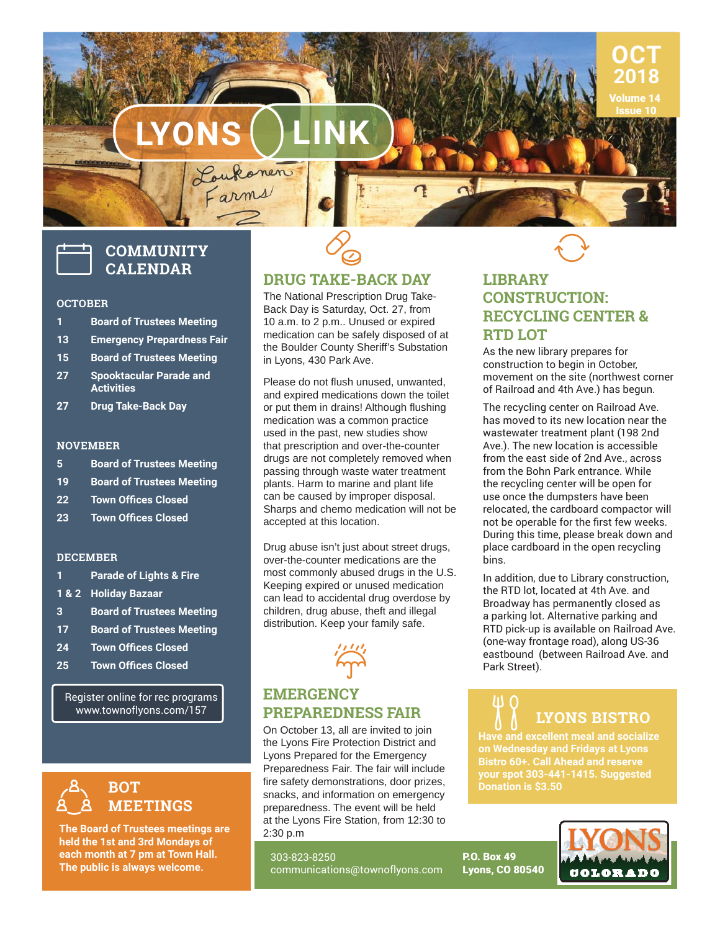

# **COMMUNITY CALENDAR**

#### **OCTOBER**

- **1 Board of Trustees Meeting**
- **13 Emergency Prepardness Fair**
- **15 Board of Trustees Meeting**
- **27 Spooktacular Parade and Activities**
- **27 Drug Take-Back Day**

### **NOVEMBER**

- **5 Board of Trustees Meeting**
- **19 Board of Trustees Meeting**
- **22 Town Offices Closed**
- **23 Town Offices Closed**

### **DECEMBER**

- **1 Parade of Lights & Fire**
- **1 & 2 Holiday Bazaar**
- **3 Board of Trustees Meeting**
- **17 Board of Trustees Meeting**
- **24 Town Offices Closed**
- **25 Town Offices Closed**

Register online for rec programs www.townoflyons.com/157



**The Board of Trustees meetings are held the 1st and 3rd Mondays of each month at 7 pm at Town Hall. The public is always welcome.** 



q

The National Prescription Drug Take-Back Day is Saturday, Oct. 27, from 10 a.m. to 2 p.m.. Unused or expired medication can be safely disposed of at the Boulder County Sheriff's Substation in Lyons, 430 Park Ave.

Please do not flush unused, unwanted. and expired medications down the toilet or put them in drains! Although flushing medication was a common practice used in the past, new studies show that prescription and over-the-counter drugs are not completely removed when passing through waste water treatment plants. Harm to marine and plant life can be caused by improper disposal. Sharps and chemo medication will not be accepted at this location.

Drug abuse isn't just about street drugs, over-the-counter medications are the most commonly abused drugs in the U.S. Keeping expired or unused medication can lead to accidental drug overdose by children, drug abuse, theft and illegal distribution. Keep your family safe.



### **EMERGENCY PREPAREDNESS FAIR**

On October 13, all are invited to join the Lyons Fire Protection District and Lyons Prepared for the Emergency Preparedness Fair. The fair will include fire safety demonstrations, door prizes, snacks, and information on emergency preparedness. The event will be held at the Lyons Fire Station, from 12:30 to 2:30 p.m

303-823-8250 communications@townoflyons.com

## **LIBRARY CONSTRUCTION: RECYCLING CENTER & RTD LOT**

 $\bigcirc$ 

**OCT 2018** Volume 14

As the new library prepares for construction to begin in October, movement on the site (northwest corner of Railroad and 4th Ave.) has begun.

The recycling center on Railroad Ave. has moved to its new location near the wastewater treatment plant (198 2nd Ave.). The new location is accessible from the east side of 2nd Ave., across from the Bohn Park entrance. While the recycling center will be open for use once the dumpsters have been relocated, the cardboard compactor will not be operable for the first few weeks. During this time, please break down and place cardboard in the open recycling bins.

In addition, due to Library construction, the RTD lot, located at 4th Ave. and Broadway has permanently closed as a parking lot. Alternative parking and RTD pick-up is available on Railroad Ave. (one-way frontage road), along US-36 eastbound (between Railroad Ave. and Park Street).

# **LYONS BISTRO**

**Have and excellent meal and socialize on Wednesday and Fridays at Lyons Bistro 60+. Call Ahead and reserve your spot 303-441-1415. Suggested Donation is \$3.50**

P.O. Box 49 Lyons, CO 80540